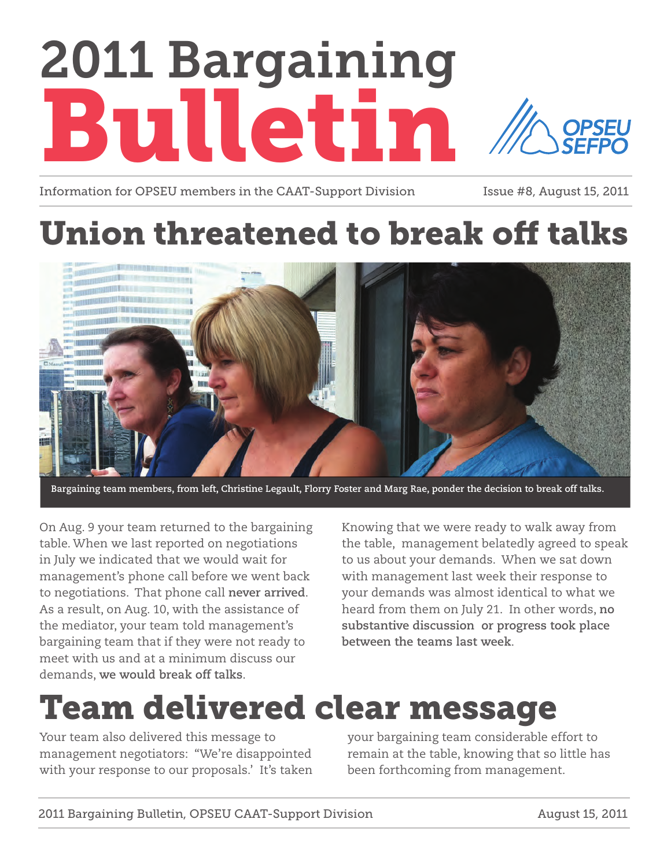# 2011 Bargaining Bulletin **OPSEU**

Information for OPSEU members in the CAAT-Support Division Issue #8, August 15, 2011

## Union threatened to break off talks



**Bargaining team members, from left, Christine Legault, Florry Foster and Marg Rae, ponder the decision to break off talks.**

On Aug. 9 your team returned to the bargaining table. When we last reported on negotiations in July we indicated that we would wait for management's phone call before we went back to negotiations. That phone call **never arrived**. As a result, on Aug. 10, with the assistance of the mediator, your team told management's bargaining team that if they were not ready to meet with us and at a minimum discuss our demands, **we would break off talks**.

Knowing that we were ready to walk away from the table, management belatedly agreed to speak to us about your demands. When we sat down with management last week their response to your demands was almost identical to what we heard from them on July 21. In other words, **no substantive discussion or progress took place between the teams last week**.

### Team delivered clear message

Your team also delivered this message to management negotiators: "We're disappointed with your response to our proposals.' It's taken your bargaining team considerable effort to remain at the table, knowing that so little has been forthcoming from management.

2011 Bargaining Bulletin, OPSEU CAAT-Support Division August 15, 2011